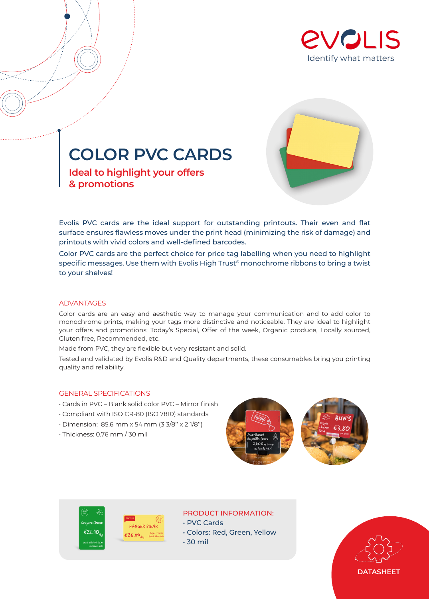



**COLOR PVC CARDS**

**Ideal to highlight your offers & promotions**

Evolis PVC cards are the ideal support for outstanding printouts. Their even and flat surface ensures flawless moves under the print head (minimizing the risk of damage) and printouts with vivid colors and well-defined barcodes.

Color PVC cards are the perfect choice for price tag labelling when you need to highlight specific messages. Use them with Evolis High Trust® monochrome ribbons to bring a twist to your shelves!

#### ADVANTAGES

Color cards are an easy and aesthetic way to manage your communication and to add color to monochrome prints, making your tags more distinctive and noticeable. They are ideal to highlight your offers and promotions: Today's Special, Offer of the week, Organic produce, Locally sourced, Gluten free, Recommended, etc.

Made from PVC, they are flexible but very resistant and solid.

Tested and validated by Evolis R&D and Quality departments, these consumables bring you printing quality and reliability.

### GENERAL SPECIFICATIONS

- Cards in PVC Blank solid color PVC Mirror finish
- Compliant with ISO CR-80 (ISO 7810) standards
- Dimension: 85.6 mm x 54 mm (3 3/8'' x 2 1/8'')
- Thickness: 0.76 mm / 30 mil





# PRODUCT INFORMATION:

• PVC Cards

- Colors: Red, Green, Yellow
- 30 mil